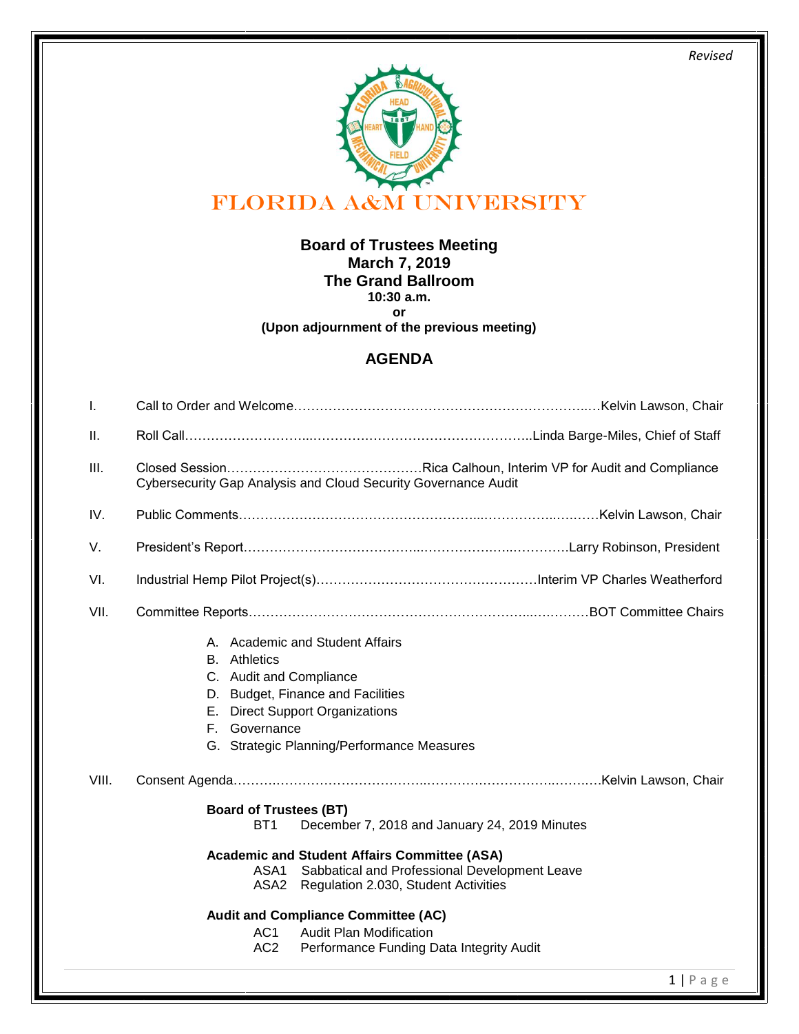*Revised* 



**Board of Trustees Meeting March 7, 2019 The Grand Ballroom 10:30 a.m. or** 

**(Upon adjournment of the previous meeting)**

## **AGENDA**

| I.    |                                                                                                                                                                                                                                                                                                                                                                                                                                     |
|-------|-------------------------------------------------------------------------------------------------------------------------------------------------------------------------------------------------------------------------------------------------------------------------------------------------------------------------------------------------------------------------------------------------------------------------------------|
| Ш.    |                                                                                                                                                                                                                                                                                                                                                                                                                                     |
| III.  | Cybersecurity Gap Analysis and Cloud Security Governance Audit                                                                                                                                                                                                                                                                                                                                                                      |
| IV.   |                                                                                                                                                                                                                                                                                                                                                                                                                                     |
| V.    |                                                                                                                                                                                                                                                                                                                                                                                                                                     |
| VI.   |                                                                                                                                                                                                                                                                                                                                                                                                                                     |
| VII.  |                                                                                                                                                                                                                                                                                                                                                                                                                                     |
|       | A. Academic and Student Affairs<br><b>B.</b> Athletics<br>C. Audit and Compliance<br>D. Budget, Finance and Facilities<br>E. Direct Support Organizations<br>F. Governance<br>G. Strategic Planning/Performance Measures                                                                                                                                                                                                            |
| VIII. |                                                                                                                                                                                                                                                                                                                                                                                                                                     |
|       | <b>Board of Trustees (BT)</b><br>December 7, 2018 and January 24, 2019 Minutes<br>BT <sub>1</sub><br><b>Academic and Student Affairs Committee (ASA)</b><br>Sabbatical and Professional Development Leave<br>ASA1<br>ASA2<br>Regulation 2.030, Student Activities<br><b>Audit and Compliance Committee (AC)</b><br><b>Audit Plan Modification</b><br>AC <sub>1</sub><br>AC <sub>2</sub><br>Performance Funding Data Integrity Audit |
|       | $1   P \text{age}$                                                                                                                                                                                                                                                                                                                                                                                                                  |